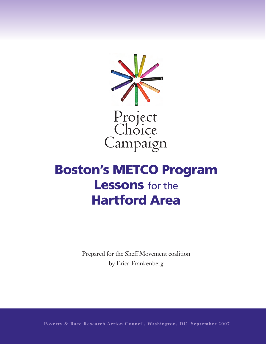

Project<br>Choice<br>Campaign

# **Boston's METCO Program Lessons** for the **Hartford Area**

Prepared for the Sheff Movement coalition by Erica Frankenberg

**Poverty & Race Research Action Council, Washington, DC September 2007**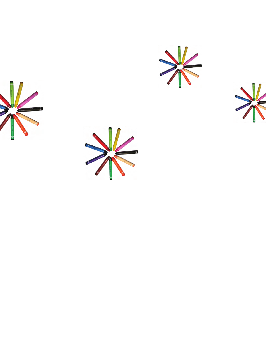

米



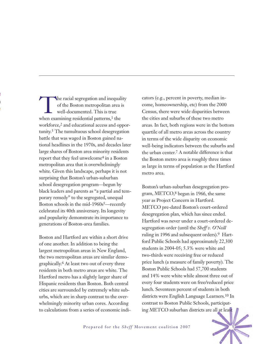The racial segregation and inequality<br>of the Boston metropolitan area is<br>well-documented. This is true<br>when examining residential patterns 1 the of the Boston metropolitan area is well-documented. This is true when examining residential patterns, $<sup>1</sup>$  the</sup> workforce,<sup>2</sup> and educational access and opportunity.3 The tumultuous school desegregation battle that was waged in Boston gained national headlines in the 1970s, and decades later large shares of Boston area minority residents report that they feel unwelcome<sup>4</sup> in a Boston metropolitan area that is overwhelmingly white. Given this landscape, perhaps it is not surprising that Boston's urban-suburban school desegregation program—begun by black leaders and parents as "a partial and temporary remedy" to the segregated, unequal Boston schools in the mid- $1960s^5$ —recently celebrated its 40th anniversary. Its longevity and popularity demonstrate its importance to generations of Boston-area families.

Boston and Hartford are within a short drive of one another. In addition to being the largest metropolitan areas in New England, the two metropolitan areas are similar demographically.6 At least two out of every three residents in both metro areas are white. The Hartford metro has a slightly larger share of Hispanic residents than Boston. Both central cities are surrounded by extremely white suburbs, which are in sharp contrast to the overwhelmingly minority urban cores. According to calculations from a series of economic indicators (e.g., percent in poverty, median income, homeownership, etc) from the 2000 Census, there were wide disparities between the cities and suburbs of these two metro areas. In fact, both regions were in the bottom quartile of all metro areas across the country in terms of the wide disparity on economic well-being indicators between the suburbs and the urban center.7 A notable difference is that the Boston metro area is roughly three times as large in terms of population as the Hartford metro area.

Boston's urban-suburban desegregation program, METCO,8 began in 1966, the same year as Project Concern in Hartford. METCO pre-dated Boston's court-ordered desegregation plan, which has since ended. Hartford was never under a court-ordered desegregation order (until the *Sheff v. O'Neill* ruling in 1996 and subsequent orders).9 Hartford Public Schools had approximately 22,300 students in 2004-05; 5.3% were white and two-thirds were receiving free or reduced price lunch (a measure of family poverty). The Boston Public Schools had 57,700 students and 14% were white while almost three out of every four students were on free/reduced price lunch. Seventeen percent of students in both districts were English Language Learners.10 In contrast to Boston Public Schools, participating METCO suburban districts are all at least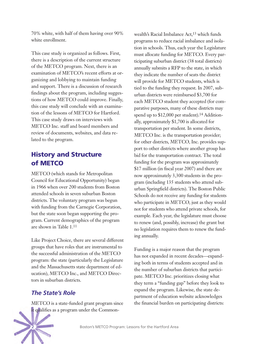70% white, with half of them having over 90% white enrollment.

This case study is organized as follows. First, there is a description of the current structure of the METCO program. Next, there is an examination of METCO's recent efforts at organizing and lobbying to maintain funding and support. There is a discussion of research findings about the program, including suggestions of how METCO could improve. Finally, this case study will conclude with an examination of the lessons of METCO for Hartford. This case study draws on interviews with METCO Inc. staff and board members and review of documents, websites, and data related to the program.

# **History and Structure of METCO**

METCO (which stands for Metropolitan Council for Educational Opportunity) began in 1966 when over 200 students from Boston attended schools in seven suburban Boston districts. The voluntary program was begun with funding from the Carnegie Corporation, but the state soon began supporting the program. Current demographics of the program are shown in Table 1.11

Like Project Choice, there are several different groups that have roles that are instrumental to the successful administration of the METCO program: the state (particularly the Legislature and the Massachusetts state department of education), METCO Inc., and METCO Directors in suburban districts.

### *The State's Role*

METCO is a state-funded grant program since it qualifies as a program under the Commonwealth's Racial Imbalance Act,<sup>13</sup> which funds programs to reduce racial imbalance and isolation in schools. Thus, each year the Legislature must allocate funding for METCO. Every participating suburban district (38 total districts) annually submits a RFP to the state, in which they indicate the number of seats the district will provide for METCO students, which is tied to the funding they request. In 2007, suburban districts were reimbursed \$3,700 for each METCO student they accepted (for comparative purposes, many of these districts may spend up to \$12,000 per student).<sup>14</sup> Additionally, approximately \$1,700 is allocated for transportation per student. In some districts, METCO Inc. is the transportation provider; for other districts, METCO, Inc. provides support to other districts where another group has bid for the transportation contract. The total funding for the program was approximately \$17 million (in fiscal year 2007) and there are now approximately 3,300 students in the program (including 135 students who attend suburban Springfield districts). The Boston Public Schools do not receive any funding for students who participate in METCO, just as they would not for students who attend private schools, for example. Each year, the legislature must choose to renew (and, possibly, increase) the grant but no legislation requires them to renew the funding annually.

Funding is a major reason that the program has not expanded in recent decades—expanding both in terms of students accepted and in the number of suburban districts that participate. METCO Inc. prioritizes closing what they term a "funding gap" before they look to expand the program. Likewise, the state department of education website acknowledges the financial burden on participating districts:

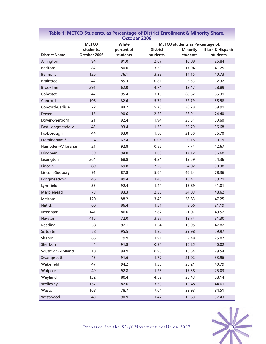|                          |                | <b>October 2006</b> |                                         |                 |                             |
|--------------------------|----------------|---------------------|-----------------------------------------|-----------------|-----------------------------|
|                          | <b>METCO</b>   | White               | <b>METCO students as Percentage of:</b> |                 |                             |
|                          | students,      | percent of          | <b>District</b>                         | <b>Minority</b> | <b>Black &amp; Hispanic</b> |
| <b>District Name</b>     | October 2006   | students            | students                                | students        | students                    |
| Arlington                | 94             | 81.0                | 2.07                                    | 10.88           | 25.84                       |
| Bedford                  | 82             | 80.0                | 3.59                                    | 17.94           | 41.25                       |
| Belmont                  | 126            | 76.1                | 3.38                                    | 14.15           | 40.73                       |
| <b>Braintree</b>         | 42             | 85.3                | 0.81                                    | 5.53            | 12.32                       |
| <b>Brookline</b>         | 291            | 62.0                | 4.74                                    | 12.47           | 28.89                       |
| Cohasset                 | 47             | 95.4                | 3.16                                    | 68.62           | 85.31                       |
| Concord                  | 106            | 82.6                | 5.71                                    | 32.79           | 65.58                       |
| Concord-Carlisle         | 72             | 84.2                | 5.73                                    | 36.28           | 69.91                       |
| Dover                    | 15             | 90.6                | 2.53                                    | 26.91           | 74.40                       |
| Dover-Sherborn           | 21             | 92.4                | 1.94                                    | 25.51           | 60.60                       |
| East Longmeadow          | 43             | 93.4                | 1.50                                    | 22.79           | 36.68                       |
| Foxborough               | 44             | 93.0                | 1.50                                    | 21.50           | 36.70                       |
| Framingham <sup>12</sup> | $\overline{4}$ | 67.4                | 0.05                                    | 0.15            | 0.19                        |
| Hampden-Wilbraham        | 21             | 92.8                | 0.56                                    | 7.74            | 12.67                       |
| Hingham                  | 39             | 94.0                | 1.03                                    | 17.12           | 36.68                       |
| Lexington                | 264            | 68.8                | 4.24                                    | 13.59           | 54.36                       |
| Lincoln                  | 89             | 69.8                | 7.25                                    | 24.02           | 38.38                       |
| Lincoln-Sudbury          | 91             | 87.8                | 5.64                                    | 46.24           | 78.36                       |
| Longmeadow               | 46             | 89.4                | 1.43                                    | 13.47           | 33.21                       |
| Lynnfield                | 33             | 92.4                | 1.44                                    | 18.89           | 41.01                       |
| Marblehead               | 73             | 93.3                | 2.33                                    | 34.83           | 48.62                       |
| Melrose                  | 120            | 88.2                | 3.40                                    | 28.83           | 47.25                       |
| <b>Natick</b>            | 60             | 86.4                | 1.31                                    | 9.66            | 21.19                       |
| Needham                  | 141            | 86.6                | 2.82                                    | 21.07           | 49.52                       |
| Newton                   | 415            | 72.0                | 3.57                                    | 12.74           | 31.30                       |
| Reading                  | 58             | 92.1                | 1.34                                    | 16.95           | 47.82                       |
| Scituate                 | 58             | 95.5                | 1.80                                    | 39.98           | 59.97                       |
| Sharon                   | 66             | 79.9                | 1.91                                    | 9.48            | 25.07                       |
| Sherborn                 | $\overline{4}$ | 91.8                | 0.84                                    | 10.25           | 40.02                       |
| Southwick-Tolland        | 18             | 94.9                | 0.95                                    | 18.54           | 29.54                       |
| Swampscott               | 43             | 91.6                | 1.77                                    | 21.02           | 33.96                       |
| Wakefield                | 47             | 94.2                | 1.35                                    | 23.21           | 40.79                       |
| Walpole                  | 49             | 92.8                | 1.25                                    | 17.38           | 25.03                       |
| Wayland                  | 132            | 80.4                | 4.59                                    | 23.43           | 58.14                       |
| Wellesley                | 157            | 82.6                | 3.39                                    | 19.48           | 44.61                       |
| Weston                   | 168            | 78.7                | 7.01                                    | 32.93           | 84.51                       |
| Westwood                 | 43             | 90.9                | 1.42                                    | 15.63           | 37.43                       |

# **Table 1: METCO Students, as Percentage of District Enrollment & Minority Share,**

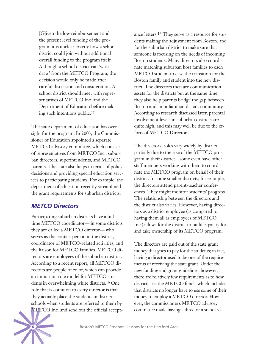[G]iven the low reimbursement and the present level funding of the program, it is unclear exactly how a school district could join without additional overall funding to the program itself. Although a school district can 'withdraw' from the METCO Program, the decision would only be made after careful discussion and consideration. A school district should meet with representatives of METCO Inc. and the Department of Education before making such intentions public.15

The state department of education has oversight for the program. In 2003, the Commissioner of Education appointed a separate METCO advisory committee, which consists of representatives from METCO Inc., suburban directors, superintendents, and METCO parents. The state also helps in terms of policy decisions and providing special education services to participating students. For example, the department of education recently streamlined the grant requirements for suburban districts.

#### *METCO Directors*

Participating suburban districts have a fulltime METCO coordinator— in some districts they are called a METCO director— who serves as the contact person in the district, coordinator of METCO-related activities, and the liaison for METCO families. METCO directors are employees of the suburban district. According to a recent report, all METCO directors are people of color, which can provide an important role model for METCO students in overwhelming white districts.16 One role that is common to every director is that they actually place the students in district schools when students are referred to them by METCO Inc. and send out the official acceptance letters.17 They serve as a resource for students making the adjustment from Boston, and for the suburban district to make sure that someone is focusing on the needs of incoming Boston students. Many directors also coordinate matching suburban host families to each METCO student to ease the transition for the Boston family and student into the new district. The directors then are communication assets for the districts but at the same time they also help parents bridge the gap between Boston and an unfamiliar, distant community. According to research discussed later, parental involvement levels in suburban districts are quite high, and this may well be due to the efforts of METCO Directors.

The directors' roles vary widely by district, partially due to the size of the METCO program in their district—some even have other staff members working with them to coordinate the METCO program on behalf of their district. In some smaller districts, for example, the directors attend parent-teacher conferences. They might monitor students' progress. The relationship between the directors and the district also varies. However, having directors as a district employee (as compared to having them all as employees of METCO Inc.) allows for the district to build capacity for and take ownership of its METCO program.

The directors are paid out of the state grant money that goes to pay for the students; in fact, having a director used to be one of the requirements of receiving the state grant. Under the new funding and grant guidelines, however, there are relatively few requirements as to how districts use the METCO funds, which includes that districts no longer have to use some of their money to employ a METCO director. However, the commissioner's METCO advisory committee made having a director a standard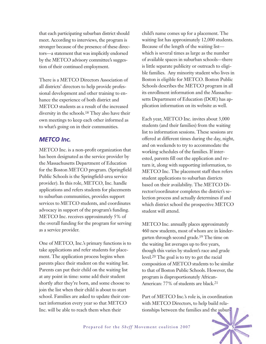that each participating suburban district should meet. According to interviews, the program is stronger because of the presence of these directors—a statement that was implicitly endorsed by the METCO advisory committee's suggestion of their continued employment.

There is a METCO Directors Association of all districts' directors to help provide professional development and other training to enhance the experience of both district and METCO students as a result of the increased diversity in the schools.18 They also have their own meetings to keep each other informed as to what's going on in their communities.

#### *METCO Inc.*

METCO Inc. is a non-profit organization that has been designated as the service provider by the Massachusetts Department of Education for the Boston METCO program. (Springfield Public Schools is the Springfield-area service provider). In this role, METCO, Inc. handle applications and refers students for placements to suburban communities, provides support services to METCO students, and coordinates advocacy in support of the program's funding. METCO Inc. receives approximately 5% of the overall funding for the program for serving as a service provider.

One of METCO, Inc.'s primary functions is to take applications and refer students for placement. The application process begins when parents place their student on the waiting list. Parents can put their child on the waiting list at any point in time: some add their student shortly after they're born, and some choose to join the list when their child is about to start school. Families are asked to update their contact information every year so that METCO Inc. will be able to reach them when their

child's name comes up for a placement. The waiting list has approximately 12,000 students. Because of the length of the waiting list which is several times as large as the number of available spaces in suburban schools—there is little separate publicity or outreach to eligible families. Any minority student who lives in Boston is eligible for METCO. Boston Public Schools describes the METCO program in all its enrollment information and the Massachusetts Department of Education (DOE) has application information on its website as well.

Each year, METCO Inc. invites about 3,000 students (and their families) from the waiting list to information sessions. These sessions are offered at different times during the day, night, and on weekends to try to accommodate the working schedules of the families. If interested, parents fill out the application and return it, along with supporting information, to METCO Inc. The placement staff then refers student applications to suburban districts based on their availability. The METCO Director/coordinator completes the district's selection process and actually determines if and which district school the prospective METCO student will attend.

METCO Inc. annually places approximately 460 new students, most of whom are in kindergarten through second grade.19 The time on the waiting list averages up to five years, though this varies by student's race and grade level.20 The goal is to try to get the racial composition of METCO students to be similar to that of Boston Public Schools. However, the program is disproportionately African-American: 77% of students are black.21

Part of METCO Inc.'s role is, in coordination with METCO Directors, to help build relationships between the families and the subur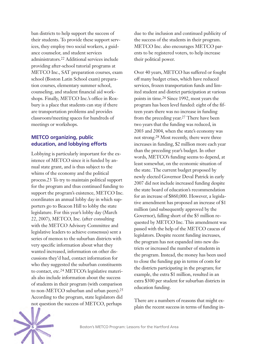ban districts to help support the success of their students. To provide these support services, they employ two social workers, a guidance counselor, and student services administrators.22 Additional services include providing after-school tutorial programs at METCO Inc., SAT preparation courses, exam school (Boston Latin School exam) preparation courses, elementary summer school, counseling, and student financial aid workshops. Finally, METCO Inc.'s office in Roxbury is a place that students can stay if there are transportation problems and provides classroom/meeting spaces for hundreds of meetings or workshops.

#### **METCO organizing, public education, and lobbying efforts**

Lobbying is particularly important for the existence of METCO since it is funded by annual state grant, and is thus subject to the whims of the economy and the political process.23 To try to maintain political support for the program and thus continued funding to support the program's existence, METCO Inc. coordinates an annual lobby day in which supporters go to Beacon Hill to lobby the state legislature. For this year's lobby day (March 22, 2007), METCO, Inc. (after consulting with the METCO Advisory Committee and legislative leaders to achieve consensus) sent a series of memos to the suburban districts with very specific information about what they wanted increased, information on other discussions they'd had, contact information for who they suggested the suburban constituents to contact, etc.24 METCO's legislative materials also include information about the success of students in their program (with comparison to non-METCO suburban and urban peers).25 According to the program, state legislators did not question the success of METCO, perhaps

due to the inclusion and continued publicity of the success of the students in their program. METCO Inc. also encourages METCO parents to be registered voters, to help increase their political power.

Over 40 years, METCO has suffered or fought off many budget crises, which have reduced services, frozen transportation funds and limited student and district participation at various points in time.26 Since 1992, most years the program has been level funded: eight of the fifteen years there was no increase in funding from the preceding year.27 There have been two years that the funding was reduced, in 2003 and 2004, when the state's economy was not strong.28 Most recently, there were three increases in funding, \$2 million more each year than the preceding year's budget. In other words, METCO's funding seems to depend, at least somewhat, on the economic situation of the state. The current budget proposed by newly elected Governor Deval Patrick in early 2007 did not include increased funding despite the state board of education's recommendation for an increase of \$860,000. However, a legislative amendment has proposed an increase of \$1 million (and subsequently approved by the Governor), falling short of the \$5 million requested by METCO Inc. This amendment was passed with the help of the METCO caucus of legislators. Despite recent funding increases, the program has not expanded into new districts or increased the number of students in the program. Instead, the money has been used to close the funding gap in terms of costs for the districts participating in the program; for example, the extra \$1 million, resulted in an extra \$300 per student for suburban districts in education funding.

There are a numbers of reasons that might explain the recent success in terms of funding in-

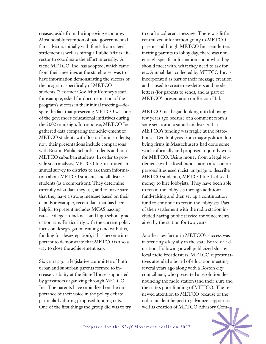creases, aside from the improving economy. Most notably retention of paid government affairs advisors initially with funds from a legal settlement as well as hiring a Public Affairs Director to coordinate the effort internally. A tactic METCO, Inc. has adopted, which came from their meetings at the statehouse, was to have information demonstrating the success of the program, specifically of METCO students.29 Former Gov. Mitt Romney's staff, for example, asked for documentation of the program's success in their initial meeting—despite the fact that preserving METCO was one of the governor's educational initiatives during the 2002 campaign. In response, METCO Inc. gathered data comparing the achievement of METCO students with Boston Latin students; now their presentations include comparisons with Boston Public Schools students and non-METCO suburban students. In order to provide such analysis, METCO Inc. instituted an annual survey to districts to ask them information about METCO students and all district students (as a comparison). They determine carefully what data they use, and to make sure that they have a strong message based on their data. For example, recent data that has been helpful to present includes MCAS passing rates, college attendance, and high school graduation rate. Particularly with the current policy focus on desegregation waning (and with this, funding for desegregation), it has become important to demonstrate that METCO is also a way to close the achievement gap.

Six years ago, a legislative committee of both urban and suburban parents formed to increase visibility at the State House, supported by grassroots organizing through METCO Inc. The parents have capitalized on the importance of their voice in the policy debate particularly during proposed funding cuts. One of the first things the group did was to try to craft a coherent message. There was little centralized information going to METCO parents—although METCO Inc. sent letters inviting parents to lobby day, there was not enough specific information about who they should meet with, what they need to ask for, etc. Annual data collected by METCO Inc. is incorporated as part of their message creation and is used to create newsletters and model letters (for parents to send), and as part of METCO's presentation on Beacon Hill.

METCO Inc. began looking into lobbying a few years ago because of a comment from a state senator in a suburban district that METCO's funding was fragile at the Statehouse. Two lobbyists from major political lobbying firms in Massachusetts had done some work informally and proposed to jointly work for METCO. Using money from a legal settlement (with a local radio station after on-air personalities used racist language to describe METCO students), METCO Inc. had seed money to hire lobbyists. They have been able to retain the lobbyists through additional fund-raising and then set up a continuation fund to continue to retain the lobbyists. Part of their settlement with the radio station included having public service announcements aired by the station for two years.

Another key factor in METCO's success was in securing a key ally in the state Board of Education. Following a well publicized slur by local radio broadcasters, METCO representatives attended a board of education meeting several years ago along with a Boston city councilman, who presented a resolution denouncing the radio station (and their slur) and the state's poor funding of METCO. The renewed attention to METCO because of the radio incident helped to galvanize support as well as creation of METCO Advisory Com-

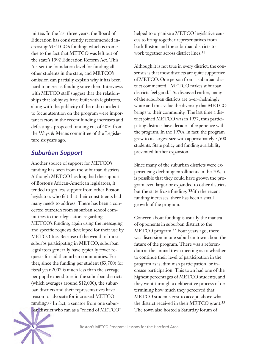mittee. In the last three years, the Board of Education has consistently recommended increasing METCO's funding, which is ironic due to the fact that METCO was left out of the state's 1992 Education Reform Act. This Act set the foundation level for funding all other students in the state, and METCO's omission can partially explain why it has been hard to increase funding since then. Interviews with METCO staff suggest that the relationships that lobbyists have built with legislators, along with the publicity of the radio incident to focus attention on the program were important factors in the recent funding increases and defeating a proposed funding cut of 40% from the Ways & Means committee of the Legislature six years ago.

#### *Suburban Support*

Another source of support for METCO's funding has been from the suburban districts. Although METCO has long had the support of Boston's African-American legislators, it tended to get less support from other Boston legislators who felt that their constituents had many needs to address. There has been a concerted outreach from suburban school committees to their legislators regarding METCO's funding, again using the messaging and specific requests developed for their use by METCO Inc. Because of the wealth of most suburbs participating in METCO, suburban legislators generally have typically fewer requests for aid than urban communities. Further, since the funding per student (\$3,700) for fiscal year 2007 is much less than the average per pupil expenditure in the suburban districts (which averages around \$12,000), the suburban districts and their representatives have reason to advocate for increased METCO funding.30 In fact, a senator from one suburban district who ran as a "friend of METCO"

helped to organize a METCO legislative caucus to bring together representatives from both Boston and the suburban districts to work together across district lines.31

Although it is not true in every district, the consensus is that most districts are quite supportive of METCO. One person from a suburban district commented, "METCO makes suburban districts feel good." As discussed earlier, many of the suburban districts are overwhelmingly white and thus value the diversity that METCO brings to their community. The last time a district joined METCO was in 1977, thus participating districts have decades of experience with the program. In the 1970s, in fact, the program grew to its largest size with approximately 3,500 students. State policy and funding availability prevented further expansion.

Since many of the suburban districts were experiencing declining enrollments in the 70's, it is possible that they could have grown the program even larger or expanded to other districts but the state froze funding. With the recent funding increases, there has been a small growth of the program.

Concern about funding is usually the mantra of opponents in suburban district to the METCO program.32 Four years ago, there was discussion in one suburban town about the future of the program. There was a referendum at the annual town meeting as to whether to continue their level of participation in the program as is, diminish participation, or increase participation. This town had one of the highest percentages of METCO students, and they went through a deliberative process of determining how much they perceived that METCO students cost to accept, above what the district received in their METCO grant.33 The town also hosted a Saturday forum of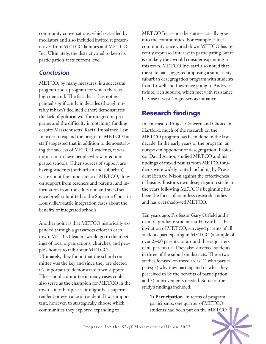community conversations, which were led by mediators and also included invited representatives from METCO families and METCO Inc. Ultimately, the district voted to keep its participation at its current level.

#### *Conclusion*

METCO, by many measures, is a successful program and a program for which there is high demand. The fact that it has not expanded significantly in decades (though notably it hasn't declined either) demonstrates the lack of political will for integration programs and the difficulty in obtaining funding despite Massachusetts' Racial Imbalance Law. In order to expand the program, METCO Inc. staff suggested that in addition to demonstrating the success of METCO students, it was important to have people who wanted integrated schools. Other sources of support are having students (both urban and suburban) write about the importance of METCO, draw on support from teachers and parents, and information from the education and social science briefs submitted to the Supreme Court in Louisville/Seattle integration cases about the benefits of integrated schools.

Another point is that METCO historically expanded through a grassroots effort in each town. METCO leaders would go to the meetings of local organizations, churches, and people's homes to talk about METCO. Ultimately, they found that the school committee was the key and since they are elected it's important to demonstrate town support. The school committee in many cases could also serve as the champion for METCO in the town—in other places, it might be a superintendent or even a local resident. It was important, however, to strategically choose which communities they explored expanding to.

METCO Inc.—not the state—actually goes into the communities. For example, a local community once voted down METCO has recently expressed interest in participating but it is unlikely they would consider expanding to this town. METCO Inc. staff also noted that the state had suggested imposing a similar citysuburban desegregation program with students from Lowell and Lawrence going to Andover (white, rich suburb), which met with resistance because it wasn't a grassroots initiative.

### **Research findings**

In contrast to Project Concern and Choice in Hartford, much of the research on the METCO program has been done in the last decade. In the early years of the program, an outspoken opponent of desegregation, Professor David Armor, studied METCO and his findings of mixed results from METCO students were widely touted including by President Richard Nixon against the effectiveness of busing. Boston's own desegregation strife in the years following METCO's beginning has been the focus of countless research studies and has overshadowed METCO.

Ten years ago, Professor Gary Orfield and a team of graduate students at Harvard, at the invitation of METCO, surveyed parents of all students participating in METCO (a sample of over 2,400 parents, or around three-quarters of all parents).34 They also surveyed students in three of the suburban districts. These two studies focused on three areas: 1) who participates; 2) why they participated or what they perceived to be the benefits of participation and 3) improvements needed. Some of the study's findings included:

**1) Participation.** In terms of program participants, one quarter of METCO students had been put on the METCO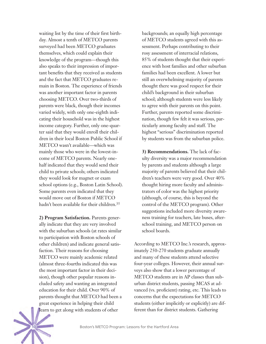waiting list by the time of their first birthday. Almost a tenth of METCO parents surveyed had been METCO graduates themselves, which could explain their knowledge of the program—though this also speaks to their impression of important benefits that they received as students and the fact that METCO graduates remain in Boston. The experience of friends was another important factor in parents choosing METCO. Over two-thirds of parents were black, though their incomes varied widely, with only one-eighth indicating their household was in the highest income category. Further, only one-quarter said that they would enroll their children in their local Boston Public School if METCO wasn't available—which was mainly those who were in the lowest-income of METCO parents. Nearly onehalf indicated that they would send their child to private schools; others indicated they would look for magnet or exam school options (e.g., Boston Latin School). Some parents even indicated that they would move out of Boston if METCO hadn't been available for their children.35

**2) Program Satisfaction.** Parents generally indicate that they are very involved with the suburban schools (at rates similar to participation with Boston schools of other children) and indicate general satisfaction. Their reasons for choosing METCO were mainly academic related (almost three-fourths indicated this was the most important factor in their decision), though other popular reasons included safety and wanting an integrated education for their child. Over 90% of parents thought that METCO had been a great experience in helping their child learn to get along with students of other

backgrounds; an equally high percentage of METCO students agreed with this assessment. Perhaps contributing to their rosy assessment of interracial relations, 85% of students thought that their experience with host families and other suburban families had been excellent. A lower but still an overwhelming majority of parents thought there was good respect for their child's background in their suburban school; although students were less likely to agree with their parents on this point. Further, parents reported some discrimination, though few felt it was serious, particularly among faculty and staff. The highest "serious" discrimination reported by students was from the suburban police.

**3) Recommendations.** The lack of faculty diversity was a major recommendation by parents and students although a large majority of parents believed that their children's teachers were very good. Over 40% thought hiring more faculty and administrators of color was the highest priority (although, of course, this is beyond the control of the METCO program). Other suggestions included more diversity awareness training for teachers, late buses, afterschool training, and METCO person on school boards.

According to METCO Inc.'s research, approximately 250-270 students graduate annually and many of these students attend selective four-year colleges. However, their annual surveys also show that a lower percentage of METCO students are in AP classes than suburban district students, passing MCAS at advanced (vs. proficient) rating, etc. This leads to concerns that the expectations for METCO students (either implicitly or explicitly) are different than for district students. Gathering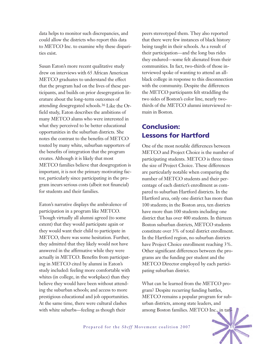data helps to monitor such discrepancies, and could allow the districts who report this data to METCO Inc. to examine why these disparities exist.

Susan Eaton's more recent qualitative study drew on interviews with 65 African American METCO graduates to understand the effect that the program had on the lives of these participants, and builds on prior desegregation literature about the long-term outcomes of attending desegregated schools.36 Like the Orfield study, Eaton describes the ambitions of many METCO alums who were interested in what they perceived to be better educational opportunities in the suburban districts. She notes the contrast to the benefits of METCO touted by many white, suburban supporters of the benefits of integration that the program creates. Although it is likely that most METCO families believe that desegregation is important, it is not the primary motivating factor, particularly since participating in the program incurs serious costs (albeit not financial) for students and their families.

Eaton's narrative displays the ambivalence of participation in a program like METCO. Though virtually all alumni agreed (to some extent) that they would participate again or they would want their child to participate in METCO, there was some hesitation. Further, they admitted that they likely would not have answered in the affirmative while they were actually in METCO. Benefits from participating in METCO cited by alumni in Eaton's study included: feeling more comfortable with whites (in college, in the workplace) than they believe they would have been without attending the suburban schools; and access to more prestigious educational and job opportunities. At the same time, there were cultural clashes with white suburbs—feeling as though their

peers stereotyped them. They also reported that there were few instances of black history being taught in their schools. As a result of their participation—and the long bus rides they endured—some felt alienated from their communities. In fact, two-thirds of those interviewed spoke of wanting to attend an allblack college in response to this disconnection with the community. Despite the differences the METCO participants felt straddling the two sides of Boston's color line, nearly twothirds of the METCO alumni interviewed remain in Boston.

# **Conclusion: Lessons for Hartford**

One of the most notable differences between METCO and Project Choice is the number of participating students. METCO is three times the size of Project Choice. These differences are particularly notable when comparing the number of METCO students and their percentage of each district's enrollment as compared to suburban Hartford districts. In the Hartford area, only one district has more than 100 students; in the Boston area, ten districts have more than 100 students including one district that has over 400 students. In thirteen Boston suburban districts, METCO students constitute over 3% of total district enrollment. In the Hartford region, no suburban districts have Project Choice enrollment reaching 3%. Other significant differences between the programs are the funding per student and the METCO Director employed by each participating suburban district.

What can be learned from the METCO program? Despite recurring funding battles, METCO remains a popular program for suburban districts, among state leaders, and among Boston families. METCO Inc., in tan-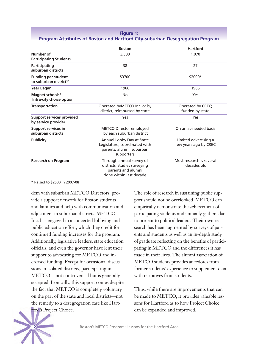**Figure 1:** 

**Program Attributes of Boston and Hartford City-suburban Desegregation Program**

|                                                                  | <b>Boston</b>                                                                                             | <b>Hartford</b>                                |
|------------------------------------------------------------------|-----------------------------------------------------------------------------------------------------------|------------------------------------------------|
| Number of<br><b>Participating Students</b>                       | 3,300                                                                                                     | 1,070                                          |
| Participating<br>suburban districts                              | 38                                                                                                        | 27                                             |
| <b>Funding per student</b><br>to suburban district <sup>37</sup> | \$3700                                                                                                    | $$2000*$                                       |
| Year Began                                                       | 1966                                                                                                      | 1966                                           |
| Magnet schools/<br>Intra-city choice option                      | No                                                                                                        | Yes                                            |
| <b>Transportation</b>                                            | Operated byMETCO Inc. or by<br>district; reimbursed by state                                              | Operated by CREC;<br>funded by state           |
| <b>Support services provided</b><br>by service provider          | Yes                                                                                                       | Yes                                            |
| <b>Support services in</b><br>suburban districts                 | <b>METCO Director employed</b><br>by each suburban district                                               | On an as-needed basis                          |
| <b>Publicity</b>                                                 | Annual Lobby Day at State<br>Legislature; coordinated with<br>parents, alumni, suburban<br>supporters     | Limited advertising a<br>few years ago by CREC |
| <b>Research on Program</b>                                       | Through annual survey of<br>districts; studies surveying<br>parents and alumni<br>done within last decade | Most research is several<br>decades old        |

\* Raised to \$2500 in 2007-08

dem with suburban METCO Directors, provide a support network for Boston students and families and help with communication and adjustment in suburban districts. METCO Inc. has engaged in a concerted lobbying and public education effort, which they credit for continued funding increases for the program. Additionally, legislative leaders, state education officials, and even the governor have lent their support to advocating for METCO and increased funding. Except for occasional discussions in isolated districts, participating in METCO is not controversial but is generally accepted. Ironically, this support comes despite the fact that METCO is completely voluntary on the part of the state and local districts—not the remedy to a desegregation case like Hartford's Project Choice.

The role of research in sustaining public support should not be overlooked. METCO can empirically demonstrate the achievement of participating students and annually gathers data to present to political leaders. Their own research has been augmented by surveys of parents and students as well as an in-depth study of graduate reflecting on the benefits of participating in METCO and the differences it has made in their lives. The alumni association of METCO students provides anecdotes from former students' experience to supplement data with narratives from students.

Thus, while there are improvements that can be made to METCO, it provides valuable lessons for Hartford as to how Project Choice can be expanded and improved.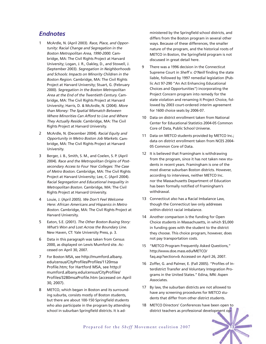#### *Endnotes*

- 1 McArdle, N. (April 2003). Race, Place, and Opportunity: Racial Change and Segregation in the Boston Metropolitan Area, 1990-2000. Cambridge, MA: The Civil Rights Project at Harvard University; Logan, J. R., Oakley, D., and Stowell, J. (September 2003). Segregation in Neighborhoods and Schools: Impacts on Minority Children in the Boston Region. Cambridge, MA: The Civil Rights Project at Harvard University; Stuart, G. (February 2000). Segregation in the Boston Metropolitan Area at the End of the Twentieth Century. Cambridge, MA: The Civil Rights Project at Harvard University; Harris, D. & McArdle, N. (2004). More than Money: The Spatial Mismatch Between Where Minorities Can Afford to Live and Where They Actually Reside. Cambridge, MA: The Civil Rights Project at Harvard University.
- 2 McArdle, N. (December 2004). Racial Equity and Opportunity in Metro Boston Job Markets. Cambridge, MA: The Civil Rights Project at Harvard University.
- 3 Berger, J. B., Smith, S. M., and Coelen, S. P. (April 2004). Race and the Metropolitan Origins of Postsecondary Access to Four Year Colleges: The Case of Metro Boston. Cambridge, MA: The Civil Rights Project at Harvard University; Lee, C. (April 2004). Racial Segregation and Educational Inequality in Metropolitan Boston. Cambridge, MA: The Civil Rights Project at Harvard University.
- 4 Louie, J. (April 2005). We Don't Feel Welcome Here: African Americans and Hispanics in Metro Boston. Cambridge, MA: The Civil Rights Project at Harvard University.
- 5 Eaton, S.E. (2001). The Other Boston Busing Story: What's Won and Lost Across the Boundary Line. New Haven, CT: Yale University Press, p. 3.
- 6 Data in this paragraph was taken from Census 2000, as displayed on Lewis Mumford site. Accessed on April 30, 2007.
- 7 For Boston MSA, see http://mumford.albany. edu/census/CityProfiles/Profiles/1120msa Profile.htm; for Hartford MSA, see http:// mumford.albany.edu/census/CityProfiles/ Profiles/3280msaProfile.htm (accessed on April 30, 2007).
- 8 METCO, which began in Boston and its surrounding suburbs, consists mostly of Boston students, but there are about 100-150 Springfield students who also participate in the program by attending school in suburban Springfield districts. It is ad-

ministered by the Springfield school districts, and differs from the Boston program in several other ways. Because of these differences, the smaller nature of the program, and the historical roots of METCO in Boston, the Springfield program is not discussed in great detail here.

- 9 There was a 1996 decision in the Connecticut Supreme Court in Sheff v. O'Neill finding the state liable, followed by 1997 remedial legislation (Public Act 97-290 "An Act Enhancing Educational Choices and Opportunities") incorporating the Project Concern program into remedy for the state violation and renaming it Project Choice, followed by 2003 court-ordered interim agreement for 1600 choice seats by 2006-07.
- 10 Data on district enrollment taken from National Center for Educational Statistics 2004-05 Common Core of Data, Public School Universe.
- 11 Data on METCO students provided by METCO Inc.; data on district enrollment taken from NCES 2004- 05 Common Core of Data.
- 12 It is believed that Framingham is withdrawing from the program, since it has not taken new students in recent years. Framingham is one of the most diverse suburban Boston districts. However, according to interviews, neither METCO Inc. nor the Massachusetts Department of Education has been formally notified of Framingham's withdrawal.
- 13 Connecticut also has a Racial Imbalance Law, though the Connecticut law only addresses within-district racial imbalance.
- 14 Another comparison is the funding for Open Choice students in Massachusetts, in which \$5,000 in funding goes with the student to the district they choose. This choice program, however, does not pay transportation costs.
- 15 "METCO Program Frequently Asked Questions," http://www.doe.mass.edu/METCO/ faq.asp?section=b Accessed on April 26, 2007.
- 16 Zoffer, G. and Palmer, E. (Fall 2005). "Profiles of Interdistrict Transfer and Voluntary Integration Programs in the United States." Edina, MN: Aspen Associates.
- 17 By law, the suburban districts are not allowed to have any screening procedures for METCO students that differ from other district students.
- 18 METCO Directors' Conferences have been open to district teachers as professional development op-



Prepared for the *Sheff* Movement coalition 2007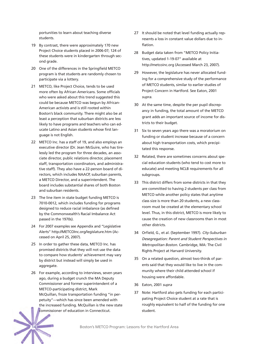portunities to learn about teaching diverse students.

- 19 By contrast, there were approximately 170 new Project Choice students placed in 2006-07; 124 of these students were in kindergarten through second grade.
- 20 One of the differences in the Springfield METCO program is that students are randomly chosen to participate via a lottery.
- 21 METCO, like Project Choice, tends to be used more often by African Americans. Some officials who were asked about this trend suggested this could be because METCO was begun by African-American activists and is still rooted within Boston's black community. There might also be at least a perception that suburban districts are less likely to have programs and teachers who can educate Latino and Asian students whose first language is not English.
- 22 METCO Inc. has a staff of 19, and also employs an executive director (Dr. Jean McGuire, who has tirelessly led the program for three decades, an associate director, public relations director, placement staff, transportation coordinators, and administrative staff). They also have a 22-person board of directors, which includes NAACP, suburban parents, a METCO Director, and a superintendent. The board includes substantial shares of both Boston and suburban residents.
- 23 The line item in state budget funding METCO is 7010-0012, which includes funding for programs designed to reduce racial imbalance (as defined by the Commonwealth's Racial Imbalance Act passed in the 1970s).
- 24 For 2007 examples see Appendix and "Legislative Alerts" http://METCOInc.org/legislature.htm (Accessed on April 25, 2007).
- 25 In order to gather these data, METCO Inc. has promised districts that they will not use the data to compare how students' achievement may vary by district but instead will simply be used in aggregate.
- 26 For example, according to interviews, seven years ago, during a budget crunch the MA Deputy Commissioner and former superintendent of a METCO-participating district, Mark McQuillan, froze transportation funding "in perpetuity"—which has since been amended with the increased funding. McQuillan is the new state commissioner of education in Connecticut.
- 27 It should be noted that level funding actually represents a loss in constant value dollars due to inflation.
- 28 Budget data taken from "METCO Policy Initiatives, updated 1-19-07" available at http://metcoinc.org (Accessed March 23, 2007).
- 29 However, the legislature has never allocated funding for a comprehensive study of the performance of METCO students, similar to earlier studies of Project Concern in Hartford. See Eaton, 2001 supra.
- 30 At the same time, despite the per pupil discrepancy in funding, the total amount of the METCO grant adds an important source of income for districts to their budget.
- 31 Six to seven years ago there was a moratorium on funding or student increase because of a concern about high transportation costs, which precipitated this response.
- 32 Related, there are sometimes concerns about special education students (who tend to cost more to educate) and meeting NCLB requirements for all subgroups.
- 33 This district differs from some districts in that they are committed to having 2 students per class from METCO while another policy states that anytime class size is more than 20 students, a new classroom must be created at the elementary school level. Thus, in this district, METCO is more likely to cause the creation of new classrooms than in most other districts.
- 34 Orfield, G., et al. (September 1997). City-Suburban Desegregation: Parent and Student Perspectives in Metropolitan Boston. Cambridge, MA: The Civil Rights Project at Harvard University.
- 35 On a related question, almost two-thirds of parents said that they would like to live in the community where their child attended school if housing were affordable.
- 36 Eaton, 2001 supra
- 37 Note: Hartford also gets funding for each participating Project Choice student at a rate that is roughly equivalent to half of the funding for one student.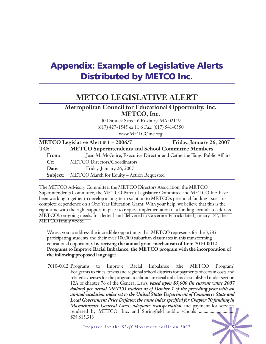# **Appendix: Example of Legislative Alerts Distributed by METCO Inc.**

# **METCO LEGISLATIVE ALERT**

#### **Metropolitan Council for Educational Opportunity, Inc. METCO, Inc.**

40 Dimock Street 6 Roxbury, MA 02119 (617) 427-1545 ex 11 6 Fax: (617) 541-0550

www.METCOinc.org

|                    | METCO Legislative Alert #1 - 2006/7                       | Friday, January 26, 2007                                               |
|--------------------|-----------------------------------------------------------|------------------------------------------------------------------------|
| TO:                | <b>METCO Superintendents and School Committee Members</b> |                                                                        |
| From:              |                                                           | Jean M. McGuire, Executive Director and Catherine Tang, Public Affairs |
| $C_{\mathbf{C}}$ : | <b>METCO Directors/Coordinators</b>                       |                                                                        |
| Date:              | Friday, January 26, 2007                                  |                                                                        |
| Subject:           | METCO March for Equity - Action Requested                 |                                                                        |

The METCO Advisory Committee, the METCO Directors Association, the METCO Superintendents Committee, the METCO Parent Legislative Committee and METCO Inc. have been working together to develop a long-term solution to METCO's perennial funding issue – its complete dependence on a One Year Education Grant. With your help, we believe that this is the right time with the right support in place to request implementation of a funding formula to address METCO's on-going needs. In a letter hand-delivered to Governor Patrick dated January 18th, the METCO family wrote:

We ask you to address the incredible opportunity that METCO represents for the 3,285 participating students and their over 100,000 suburban classmates in this transforming educational opportunity **by revising the annual grant mechanism of Item 7010-0012 Programs to Improve Racial Imbalance, the METCO program with the incorporation of the following proposed language**:

7010-0012 Programs to Improve Racial Imbalance (the METCO Program) For grants to cities, towns and regional school districts for payments of certain costs and related expenses for the program to eliminate racial imbalance established under section 12A of chapter 76 of the General Laws; *based upon \$5,000 (in current value 2007 dollars) per actual METCO student as of October 1 of the preceding year with an annual escalation index set to the United States Department of Commerce State and Local Government Price Deflator, the same index specified for Chapter 70 funding in Massachusetts General Laws, adequate transportation* and payment for services rendered by METCO, Inc. and Springfield public schools .............................. \$24,615,313

Prepared for the *Sheff* Movement coalition 2007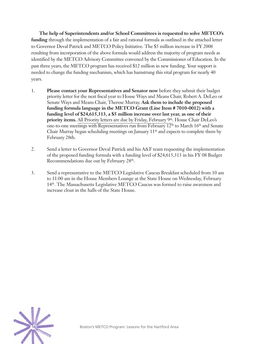**The help of Superintendents and/or School Committees is requested to solve METCO's funding** through the implementation of a fair and rational formula as outlined in the attached letter to Governor Deval Patrick and METCO Policy Initiative. The \$5 million increase in FY 2008 resulting from incorporation of the above formula would address the majority of program needs as identified by the METCO Advisory Committee convened by the Commissioner of Education. In the past three years, the METCO program has received \$12 million in new funding. Your support is needed to change the funding mechanism, which has hamstrung this vital program for nearly 40 years.

- 1. **Please contact your Representatives and Senator now** before they submit their budget priority letter for the next fiscal year to House Ways and Means Chair, Robert A. DeLeo or Senate Ways and Means Chair, Therese Murray. **Ask them to include the proposed funding formula language in the METCO Grant (Line Item # 7010-0012) with a funding level of \$24,615,313, a \$5 million increase over last year, as one of their** priority items. All Priority letters are due by Friday, February <sup>9th</sup>. House Chair DeLeo's one-to-one meetings with Representatives run from February 12<sup>th</sup> to March 16<sup>th</sup> and Senate Chair Murray began scheduling meetings on January  $11<sup>th</sup>$  and expects to complete them by February 28th.
- 2. Send a letter to Governor Deval Patrick and his A&F team requesting the implementation of the proposed funding formula with a funding level of \$24,615,313 in his FY 08 Budget Recommendations due out by February 28<sup>th</sup>.
- 3. Send a representative to the METCO Legislative Caucus Breakfast scheduled from 10 am to 11:00 am in the House Members Lounge at the State House on Wednesday, February 14th. The Massachusetts Legislative METCO Caucus was formed to raise awareness and increase clout in the halls of the State House.

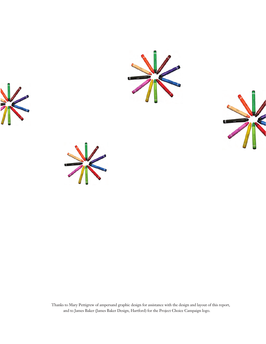







Thanks to Mary Pettigrew of ampersand graphic design for assistance with the design and layout of this report, and to James Baker (James Baker Design, Hartford) for the Project Choice Campaign logo.